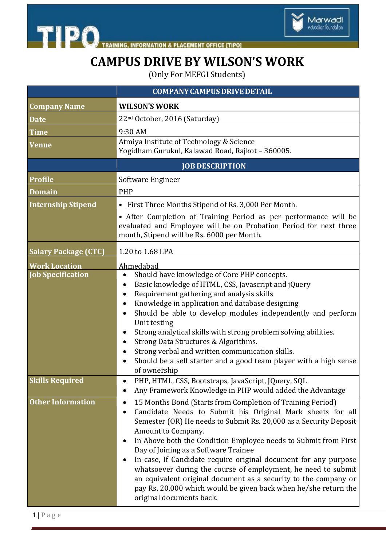



## **CAMPUS DRIVE BY WILSON'S WORK**

(Only For MEFGI Students)

|                             | <b>COMPANY CAMPUS DRIVE DETAIL</b>                                                                                                                                                                                                                                                                                                                                                                                                                                                                                                                                                                                                                |
|-----------------------------|---------------------------------------------------------------------------------------------------------------------------------------------------------------------------------------------------------------------------------------------------------------------------------------------------------------------------------------------------------------------------------------------------------------------------------------------------------------------------------------------------------------------------------------------------------------------------------------------------------------------------------------------------|
| <b>Company Name</b>         | <b>WILSON'S WORK</b>                                                                                                                                                                                                                                                                                                                                                                                                                                                                                                                                                                                                                              |
| <b>Date</b>                 | 22 <sup>nd</sup> October, 2016 (Saturday)                                                                                                                                                                                                                                                                                                                                                                                                                                                                                                                                                                                                         |
| <b>Time</b>                 | 9:30 AM                                                                                                                                                                                                                                                                                                                                                                                                                                                                                                                                                                                                                                           |
| <b>Venue</b>                | Atmiya Institute of Technology & Science<br>Yogidham Gurukul, Kalawad Road, Rajkot - 360005.                                                                                                                                                                                                                                                                                                                                                                                                                                                                                                                                                      |
|                             | <b>JOB DESCRIPTION</b>                                                                                                                                                                                                                                                                                                                                                                                                                                                                                                                                                                                                                            |
| <b>Profile</b>              | Software Engineer                                                                                                                                                                                                                                                                                                                                                                                                                                                                                                                                                                                                                                 |
| <b>Domain</b>               | <b>PHP</b>                                                                                                                                                                                                                                                                                                                                                                                                                                                                                                                                                                                                                                        |
| <b>Internship Stipend</b>   | • First Three Months Stipend of Rs. 3,000 Per Month.                                                                                                                                                                                                                                                                                                                                                                                                                                                                                                                                                                                              |
|                             | • After Completion of Training Period as per performance will be<br>evaluated and Employee will be on Probation Period for next three<br>month, Stipend will be Rs. 6000 per Month.                                                                                                                                                                                                                                                                                                                                                                                                                                                               |
| <b>Salary Package (CTC)</b> | 1.20 to 1.68 LPA                                                                                                                                                                                                                                                                                                                                                                                                                                                                                                                                                                                                                                  |
| <b>Work Location</b>        | Ahmedabad                                                                                                                                                                                                                                                                                                                                                                                                                                                                                                                                                                                                                                         |
| <b>Job Specification</b>    | Should have knowledge of Core PHP concepts.<br>$\bullet$<br>Basic knowledge of HTML, CSS, Javascript and jQuery<br>Requirement gathering and analysis skills<br>$\bullet$<br>Knowledge in application and database designing<br>Should be able to develop modules independently and perform<br>$\bullet$<br>Unit testing<br>Strong analytical skills with strong problem solving abilities.<br>$\bullet$<br>Strong Data Structures & Algorithms.<br>Strong verbal and written communication skills.<br>Should be a self starter and a good team player with a high sense<br>of ownership                                                          |
| <b>Skills Required</b>      | PHP, HTML, CSS, Bootstraps, JavaScript, JQuery, SQL<br>Any Framework Knowledge in PHP would added the Advantage<br>$\bullet$                                                                                                                                                                                                                                                                                                                                                                                                                                                                                                                      |
| <b>Other Information</b>    | 15 Months Bond (Starts from Completion of Training Period)<br>$\bullet$<br>Candidate Needs to Submit his Original Mark sheets for all<br>Semester (OR) He needs to Submit Rs. 20,000 as a Security Deposit<br>Amount to Company.<br>In Above both the Condition Employee needs to Submit from First<br>Day of Joining as a Software Trainee<br>In case, If Candidate require original document for any purpose<br>whatsoever during the course of employment, he need to submit<br>an equivalent original document as a security to the company or<br>pay Rs. 20,000 which would be given back when he/she return the<br>original documents back. |